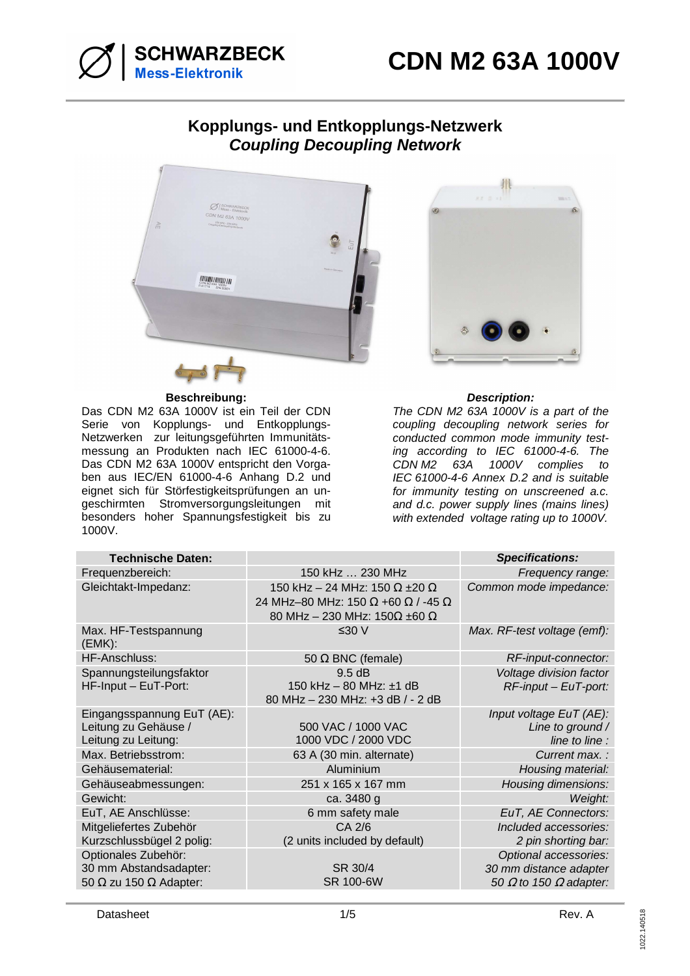



# **Kopplungs- und Entkopplungs-Netzwerk Coupling Decoupling Network**



#### **Beschreibung: Description:**

Das CDN M2 63A 1000V ist ein Teil der CDN Serie von Kopplungs- und Entkopplungs-Netzwerken zur leitungsgeführten Immunitätsmessung an Produkten nach IEC 61000-4-6. Das CDN M2 63A 1000V entspricht den Vorgaben aus IEC/EN 61000-4-6 Anhang D.2 und eignet sich für Störfestigkeitsprüfungen an ungeschirmten Stromversorgungsleitungen mit besonders hoher Spannungsfestigkeit bis zu 1000V.



The CDN M2 63A 1000V is a part of the coupling decoupling network series for conducted common mode immunity testing according to IEC 61000-4-6. The CDN M2 63A 1000V complies to IEC 61000-4-6 Annex D.2 and is suitable for immunity testing on unscreened a.c. and d.c. power supply lines (mains lines) with extended voltage rating up to 1000V.

| <b>Technische Daten:</b>                                                              |                                                                                                                                  | <b>Specifications:</b>                                                                  |
|---------------------------------------------------------------------------------------|----------------------------------------------------------------------------------------------------------------------------------|-----------------------------------------------------------------------------------------|
| Frequenzbereich:                                                                      | 150 kHz  230 MHz                                                                                                                 | Frequency range:                                                                        |
| Gleichtakt-Impedanz:                                                                  | 150 kHz - 24 MHz: 150 $\Omega$ ±20 $\Omega$<br>24 MHz-80 MHz: 150 Ω +60 Ω / -45 Ω<br>80 MHz - 230 MHz: $150\Omega \pm 60 \Omega$ | Common mode impedance:                                                                  |
| Max. HF-Testspannung<br>(EMK):                                                        | ≤30 V                                                                                                                            | Max. RF-test voltage (emf):                                                             |
| <b>HF-Anschluss:</b>                                                                  | 50 $\Omega$ BNC (female)                                                                                                         | RF-input-connector:                                                                     |
| Spannungsteilungsfaktor<br>HF-Input - EuT-Port:                                       | 9.5 dB<br>150 kHz $-$ 80 MHz: $\pm$ 1 dB<br>80 MHz - 230 MHz: +3 dB / - 2 dB                                                     | Voltage division factor<br>RF-input - EuT-port:                                         |
| Eingangsspannung EuT (AE):<br>Leitung zu Gehäuse /<br>Leitung zu Leitung:             | 500 VAC / 1000 VAC<br>1000 VDC / 2000 VDC                                                                                        | Input voltage EuT (AE):<br>Line to ground /<br>line to line :                           |
| Max. Betriebsstrom:                                                                   | 63 A (30 min. alternate)                                                                                                         | Current max.:                                                                           |
| Gehäusematerial:                                                                      | Aluminium                                                                                                                        | Housing material:                                                                       |
| Gehäuseabmessungen:                                                                   | 251 x 165 x 167 mm                                                                                                               | Housing dimensions:                                                                     |
| Gewicht:                                                                              | ca. 3480 g                                                                                                                       | Weight:                                                                                 |
| EuT, AE Anschlüsse:                                                                   | 6 mm safety male                                                                                                                 | EuT, AE Connectors:                                                                     |
| Mitgeliefertes Zubehör<br>Kurzschlussbügel 2 polig:                                   | CA 2/6<br>(2 units included by default)                                                                                          | Included accessories:<br>2 pin shorting bar:                                            |
| Optionales Zubehör:<br>30 mm Abstandsadapter:<br>50 $\Omega$ zu 150 $\Omega$ Adapter: | SR 30/4<br>SR 100-6W                                                                                                             | Optional accessories:<br>30 mm distance adapter<br>50 $\Omega$ to 150 $\Omega$ adapter: |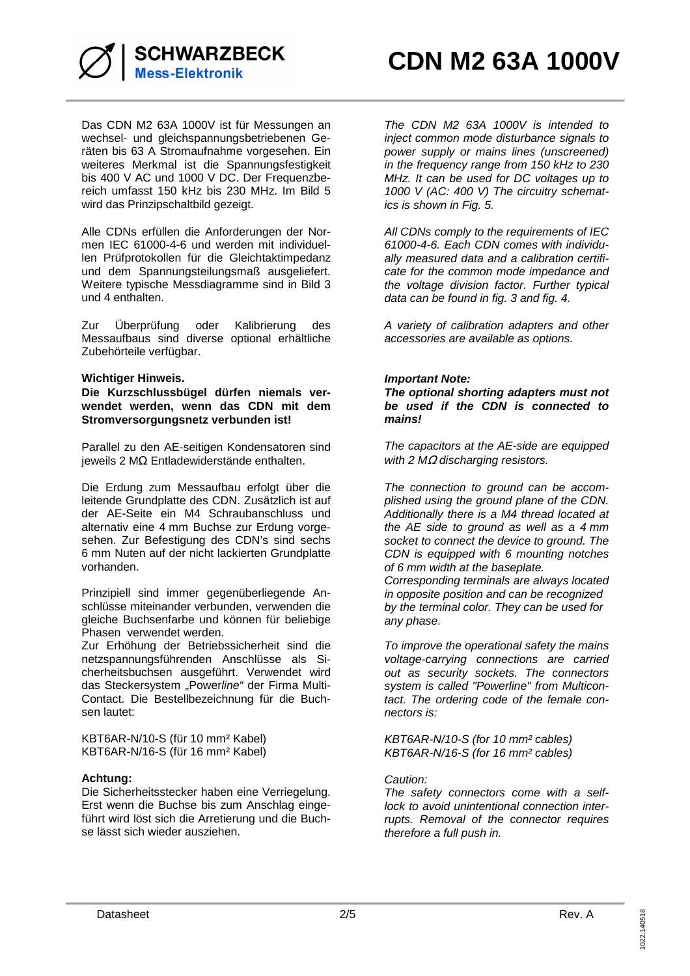

Das CDN M2 63A 1000V ist für Messungen an wechsel- und gleichspannungsbetriebenen Geräten bis 63 A Stromaufnahme vorgesehen. Ein weiteres Merkmal ist die Spannungsfestigkeit bis 400 V AC und 1000 V DC. Der Frequenzbereich umfasst 150 kHz bis 230 MHz. Im Bild 5 wird das Prinzipschaltbild gezeigt.

Alle CDNs erfüllen die Anforderungen der Normen IEC 61000-4-6 und werden mit individuellen Prüfprotokollen für die Gleichtaktimpedanz und dem Spannungsteilungsmaß ausgeliefert. Weitere typische Messdiagramme sind in Bild 3 und 4 enthalten.

Zur Überprüfung oder Kalibrierung des Messaufbaus sind diverse optional erhältliche Zubehörteile verfügbar.

## **Wichtiger Hinweis.**

**Die Kurzschlussbügel dürfen niemals verwendet werden, wenn das CDN mit dem Stromversorgungsnetz verbunden ist!** 

Parallel zu den AE-seitigen Kondensatoren sind jeweils 2 MΩ Entladewiderstände enthalten.

Die Erdung zum Messaufbau erfolgt über die leitende Grundplatte des CDN. Zusätzlich ist auf der AE-Seite ein M4 Schraubanschluss und alternativ eine 4 mm Buchse zur Erdung vorgesehen. Zur Befestigung des CDN's sind sechs 6 mm Nuten auf der nicht lackierten Grundplatte vorhanden.

Prinzipiell sind immer gegenüberliegende Anschlüsse miteinander verbunden, verwenden die gleiche Buchsenfarbe und können für beliebige Phasen verwendet werden.

Zur Erhöhung der Betriebssicherheit sind die netzspannungsführenden Anschlüsse als Sicherheitsbuchsen ausgeführt. Verwendet wird das Steckersystem "Powerline" der Firma Multi-Contact. Die Bestellbezeichnung für die Buchsen lautet:

KBT6AR-N/10-S (für 10 mm² Kabel) KBT6AR-N/16-S (für 16 mm² Kabel)

## **Achtung:**

Die Sicherheitsstecker haben eine Verriegelung. Erst wenn die Buchse bis zum Anschlag eingeführt wird löst sich die Arretierung und die Buchse lässt sich wieder ausziehen.

The CDN M2 63A 1000V is intended to inject common mode disturbance signals to power supply or mains lines (unscreened) in the frequency range from 150 kHz to 230 MHz. It can be used for DC voltages up to 1000 V (AC: 400 V) The circuitry schematics is shown in Fig. 5.

All CDNs comply to the requirements of IEC 61000-4-6. Each CDN comes with individually measured data and a calibration certificate for the common mode impedance and the voltage division factor. Further typical data can be found in fig. 3 and fig. 4.

A variety of calibration adapters and other accessories are available as options.

## **Important Note:**

**The optional shorting adapters must not be used if the CDN is connected to mains!** 

The capacitors at the AE-side are equipped with 2  $MΩ$  discharging resistors.

The connection to ground can be accomplished using the ground plane of the CDN. Additionally there is a M4 thread located at the AE side to ground as well as a 4 mm socket to connect the device to ground. The CDN is equipped with 6 mounting notches of 6 mm width at the baseplate. Corresponding terminals are always located in opposite position and can be recognized by the terminal color. They can be used for any phase.

To improve the operational safety the mains voltage-carrying connections are carried out as security sockets. The connectors system is called "Powerline" from Multicontact. The ordering code of the female connectors is:

KBT6AR-N/10-S (for 10 mm² cables) KBT6AR-N/16-S (for 16 mm² cables)

## Caution:

The safety connectors come with a selflock to avoid unintentional connection interrupts. Removal of the connector requires therefore a full push in.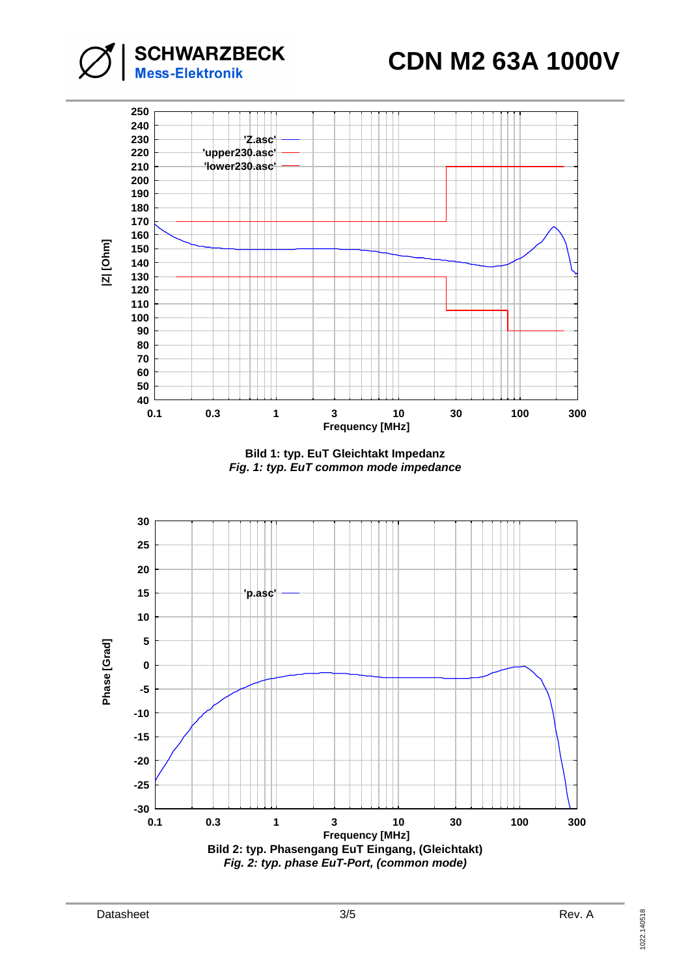**CDN M2 63A 1000V**



**SCHWARZBECK**<br>Mess-Elektronik



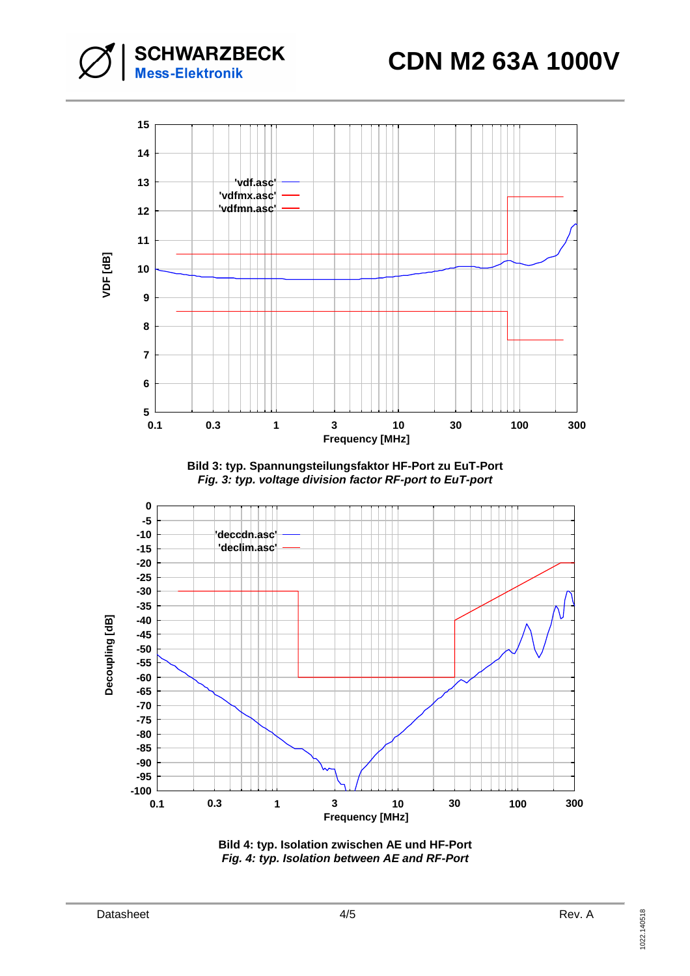**CDN M2 63A 1000V**



**Bild 3: typ. Spannungsteilungsfaktor HF-Port zu EuT-Port Fig. 3: typ. voltage division factor RF-port to EuT-port** 



**Bild 4: typ. Isolation zwischen AE und HF-Port Fig. 4: typ. Isolation between AE and RF-Port**